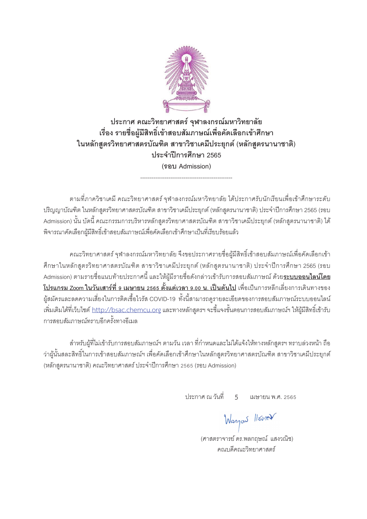

#### **¦³µ« ³ª·¥µ«µ¦r »¯µ¨¦¤®µª r ·¥µ¨´¥** เรื่อง รายชื่อผู้มีสิทธิ์เข้าสอบสัมภาษณ์เพื่อคัดเลือกเข้าศึกษา <u>ในหลักสูตรวิทยาศาสตรบัณฑิต สาขาวิชาเคมีประยุกต์ (หลักสูตรนานาชาติ)</u> **¦³µÎ ¸µ¦«¹¬µ2565 ¦°Admission**

ตามที่ภาควิชาเคมี คณะวิทยาศาสตร์ จุฬาลงกรณ์มหาวิทยาลัย ได้ประกาศรับนักเรียนเพื่อเข้าศึกษาระดับ ปริญญาบัณฑิต ในหลักสูตรวิทยาศาสตรบัณฑิต สาขาวิชาเคมีประยุกต์ (หลักสูตรนานาชาติ) ประจำปีการศึกษา 2565 (รอบ Admission) นั้น บัดนี้ คณะกรรมการบริหารหลักสูตรวิทยาศาสตรบัณฑิต สาขาวิชาเคมีประยุกต์ (หลักสูตรนานาชาติ) ได้ ู<br>พิจารณาคัดเลือกผู้มีสิทธิ์เข้าสอบสัมภาษณ์เพื่อคัดเลือกเข้าศึกษาเป็นที่เรียบร้อยแล้ว

-------------------------------------------------

คณะวิทยาศาสตร์ จฬาลงกรณ์มหาวิทยาลัย จึงขอประกาศรายชื่อผ้มีสิทธิ์เข้าสอบสัมภาษณ์เพื่อคัดเลือกเข้า ดึกษาในหลักสูตรวิทยาศาสตรบัณฑิต สาขาวิชาเคมีประยุกต์ (หลักสูตรนานาชาติ) ประจำปีการศึกษา 2565 (รอบ Admission µ¤¦µ¥Éº°Âµ¥¦³µ« o ¸Â¨³Ä® Ê o ¼¤o ¸¦µ¥Éº°´¨nµªÁµ¦o µ¦° ´ ´¤£µ¬rª¥o **¦³°°Å¨rÃ¥ โปรแกรม Zoom ในวันเสาร์ที่ 9 <mark>เมษายน</mark> 2565 ตั้งแต่เวลา 9.00 น. เป็นต้นไป</mark> เพื่อเป็นการหลีกเลี่ยงการเดินทางของ** ผู้สมัครและลดความเสี่ยงในการติดเชื้อไวรัส COVID-19 ทั้งนี้สามารถดูรายละเอียดของการสอบสัมภาษณ์ระบบออนไลน์ ้เพิ่มเติมได้ที่เว็บไซต์ <u>http://bsac.chemcu.org</u> และทางหลักสูตรฯ จะขี้แจงขั้นตอนการสอบสัมภาษณ์ฯ ให้ผู้มีสิทธิ์เข้ารับ การสคบสัมภาษณ์ทราบคีกครั้งทางคีเมล

ู ลำหรับผู้ที่ไม่เข้ารับการสอบสัมภาษณ์ฯ ตามวัน เวลา ที่กำหนดและไม่ได้แจ้งให้ทางหลักสูตรฯ ทราบล่วงหน้า ถือ ว่าผู้นันสละสิทธิในการเข้าสอบสัมภาษณ์ฯ เพื่อคัดเลือกเข้าศึกษาในหลักสูตรวิทยาศาสตรบัณฑิต สาขาวิชาเคมีประยุกต์ (หลักสูตรนานาชาติ) คณะวิทยาศาสตร์ ประจำปีการศึกษา 2565 (รอบ Admission)

1 ประกาศ ณ วันที่ 5 เมษายน พ.ศ. 2565

Wanjon //

(ศาสตราจารย์ ดร.พลกถษณ์ แสงวณิช) คณบดีคณะวิทยาศาสตร์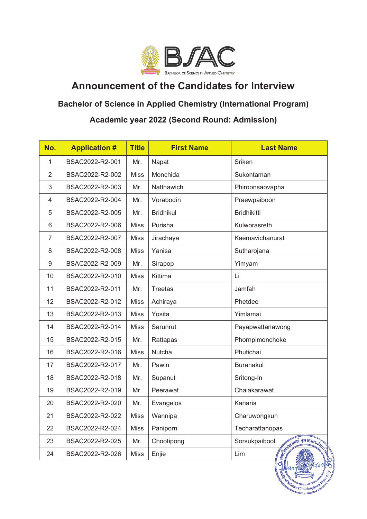

# **Announcement of the Candidates for Interview**

### **Bachelor of Science in Applied Chemistry (International Program)**

## **Academic year 2022 (Second Round: Admission)**

| No. | <b>Application #</b> | <b>Title</b> | <b>First Name</b> | <b>Last Name</b>               |
|-----|----------------------|--------------|-------------------|--------------------------------|
| 1   | BSAC2022-R2-001      | Mr.          | Napat             | Sriken                         |
| 2   | BSAC2022-R2-002      | <b>Miss</b>  | Monchida          | Sukontaman                     |
| 3   | BSAC2022-R2-003      | Mr.          | Natthawich        | Phiroonsaovapha                |
| 4   | BSAC2022-R2-004      | Mr.          | Vorabodin         | Praewpaiboon                   |
| 5   | BSAC2022-R2-005      | Mr.          | <b>Bridhikul</b>  | <b>Bridhikitti</b>             |
| 6   | BSAC2022-R2-006      | <b>Miss</b>  | Purisha           | Kulworasreth                   |
| 7   | BSAC2022-R2-007      | <b>Miss</b>  | Jirachaya         | Kaemavichanurat                |
| 8   | BSAC2022-R2-008      | <b>Miss</b>  | Yanisa            | Sutharojana                    |
| 9   | BSAC2022-R2-009      | Mr.          | Sirapop           | Yimyam                         |
| 10  | BSAC2022-R2-010      | <b>Miss</b>  | Kittima           | Li                             |
| 11  | BSAC2022-R2-011      | Mr.          | <b>Treetas</b>    | Jamfah                         |
| 12  | BSAC2022-R2-012      | <b>Miss</b>  | Achiraya          | Phetdee                        |
| 13  | BSAC2022-R2-013      | <b>Miss</b>  | Yosita            | Yimlamai                       |
| 14  | BSAC2022-R2-014      | <b>Miss</b>  | Sarunrut          | Payapwattanawong               |
| 15  | BSAC2022-R2-015      | Mr.          | Rattapas          | Phornpimonchoke                |
| 16  | BSAC2022-R2-016      | <b>Miss</b>  | <b>Nutcha</b>     | Phutichai                      |
| 17  | BSAC2022-R2-017      | Mr.          | Pawin             | <b>Buranakul</b>               |
| 18  | BSAC2022-R2-018      | Mr.          | Supanut           | Sritong-In                     |
| 19  | BSAC2022-R2-019      | Mr.          | Peerawat          | Chaiakarawat                   |
| 20  | BSAC2022-R2-020      | Mr.          | Evangelos         | Kanaris                        |
| 21  | BSAC2022-R2-022      | Miss         | Wannipa           | Charuwongkun                   |
| 22  | BSAC2022-R2-024      | <b>Miss</b>  | Paniporn          | Techarattanopas                |
| 23  | BSAC2022-R2-025      | Mr.          | Chootipong        | Sorsukpaibool                  |
| 24  | BSAC2022-R2-026      | <b>Miss</b>  | Enjie             | STOWARD DESCRIPTION AND<br>Lim |

ace Clinicao